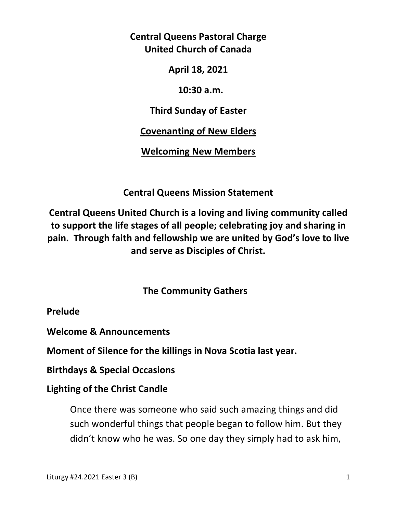**Central Queens Pastoral Charge United Church of Canada** 

**April 18, 2021** 

 **10:30 a.m.** 

**Third Sunday of Easter** 

**Covenanting of New Elders** 

**Welcoming New Members** 

**Central Queens Mission Statement** 

**Central Queens United Church is a loving and living community called to support the life stages of all people; celebrating joy and sharing in pain. Through faith and fellowship we are united by God's love to live and serve as Disciples of Christ.**

 **The Community Gathers** 

**Prelude** 

**Welcome & Announcements** 

**Moment of Silence for the killings in Nova Scotia last year.** 

**Birthdays & Special Occasions** 

**Lighting of the Christ Candle** 

Once there was someone who said such amazing things and did such wonderful things that people began to follow him. But they didn't know who he was. So one day they simply had to ask him,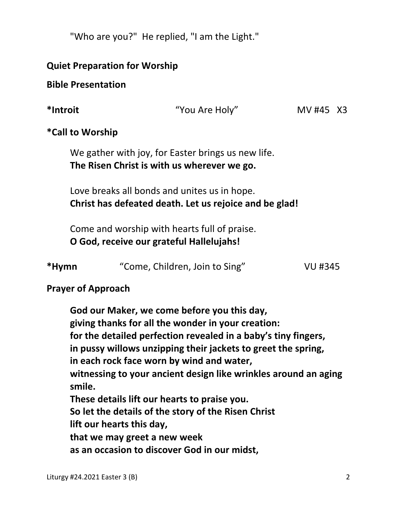"Who are you?" He replied, "I am the Light."

## **Quiet Preparation for Worship**

### **Bible Presentation**

**\*Introit** "You Are Holy" MV #45X3

# **\*Call to Worship**

We gather with joy, for Easter brings us new life.  **The Risen Christ is with us wherever we go.** 

 Love breaks all bonds and unites us in hope.  **Christ has defeated death. Let us rejoice and be glad!** 

 Come and worship with hearts full of praise.  **O God, receive our grateful Hallelujahs!** 

| *Hymn | "Come, Children, Join to Sing" | <b>VU #345</b> |
|-------|--------------------------------|----------------|
|       |                                |                |

# **Prayer of Approach**

 **God our Maker, we come before you this day, giving thanks for all the wonder in your creation: for the detailed perfection revealed in a baby's tiny fingers, in pussy willows unzipping their jackets to greet the spring, in each rock face worn by wind and water, witnessing to your ancient design like wrinkles around an aging smile. These details lift our hearts to praise you. So let the details of the story of the Risen Christ lift our hearts this day, that we may greet a new week as an occasion to discover God in our midst,**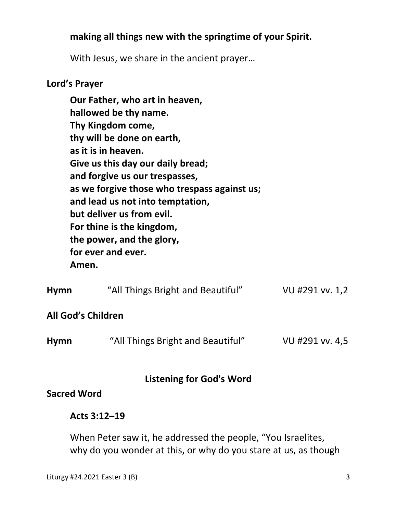# **making all things new with the springtime of your Spirit.**

With Jesus, we share in the ancient prayer…

### **Lord's Prayer**

**Our Father, who art in heaven, hallowed be thy name. Thy Kingdom come, thy will be done on earth, as it is in heaven. Give us this day our daily bread; and forgive us our trespasses, as we forgive those who trespass against us; and lead us not into temptation, but deliver us from evil. For thine is the kingdom, the power, and the glory, for ever and ever. Amen.** 

| <b>Hymn</b>        | "All Things Bright and Beautiful" | VU #291 vv. 1,2 |
|--------------------|-----------------------------------|-----------------|
| All God's Children |                                   |                 |
| <b>Hymn</b>        | "All Things Bright and Beautiful" | VU #291 vv. 4,5 |

## **Listening for God's Word**

**Sacred Word** 

### **Acts 3:12–19**

When Peter saw it, he addressed the people, "You Israelites, why do you wonder at this, or why do you stare at us, as though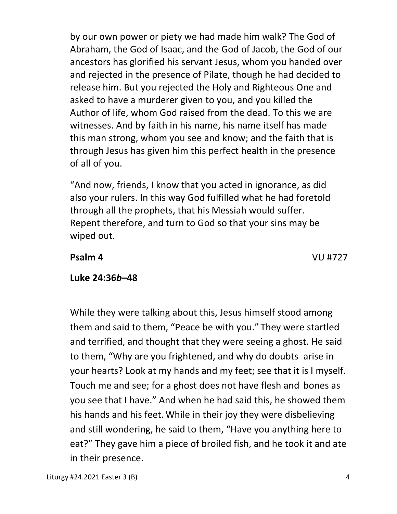by our own power or piety we had made him walk? The God of Abraham, the God of Isaac, and the God of Jacob, the God of our ancestors has glorified his servant Jesus, whom you handed over and rejected in the presence of Pilate, though he had decided to release him. But you rejected the Holy and Righteous One and asked to have a murderer given to you, and you killed the Author of life, whom God raised from the dead. To this we are witnesses. And by faith in his name, his name itself has made this man strong, whom you see and know; and the faith that is through Jesus has given him this perfect health in the presence of all of you.

"And now, friends, I know that you acted in ignorance, as did also your rulers. In this way God fulfilled what he had foretold through all the prophets, that his Messiah would suffer. Repent therefore, and turn to God so that your sins may be wiped out.

 **Psalm 4** VU #727

# **Luke 24:36***b***–48**

While they were talking about this, Jesus himself stood among them and said to them, "Peace be with you." They were startled and terrified, and thought that they were seeing a ghost. He said to them, "Why are you frightened, and why do doubts arise in your hearts? Look at my hands and my feet; see that it is I myself. Touch me and see; for a ghost does not have flesh and bones as you see that I have." And when he had said this, he showed them his hands and his feet. While in their joy they were disbelieving and still wondering, he said to them, "Have you anything here to eat?" They gave him a piece of broiled fish, and he took it and ate in their presence.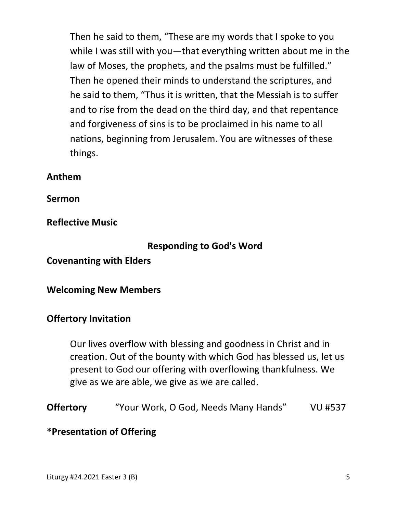Then he said to them, "These are my words that I spoke to you while I was still with you—that everything written about me in the law of Moses, the prophets, and the psalms must be fulfilled." Then he opened their minds to understand the scriptures, and he said to them, "Thus it is written, that the Messiah is to suffer and to rise from the dead on the third day, and that repentance and forgiveness of sins is to be proclaimed in his name to all nations, beginning from Jerusalem. You are witnesses of these things.

### **Anthem**

**Sermon** 

**Reflective Music** 

### **Responding to God's Word**

**Covenanting with Elders** 

### **Welcoming New Members**

### **Offertory Invitation**

Our lives overflow with blessing and goodness in Christ and in creation. Out of the bounty with which God has blessed us, let us present to God our offering with overflowing thankfulness. We give as we are able, we give as we are called.

```
Offertory "Your Work, O God, Needs Many Hands" VU #537
```
### **\*Presentation of Offering**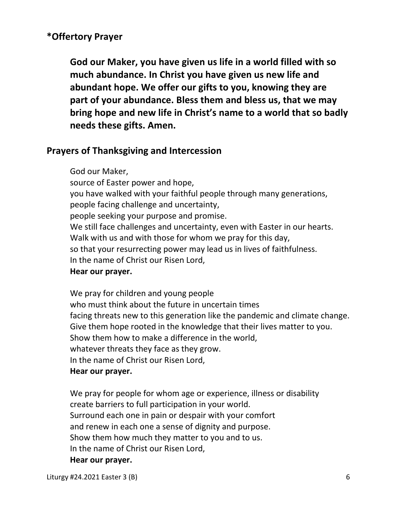## **\*Offertory Prayer**

**God our Maker, you have given us life in a world filled with so much abundance. In Christ you have given us new life and abundant hope. We offer our gifts to you, knowing they are part of your abundance. Bless them and bless us, that we may bring hope and new life in Christ's name to a world that so badly needs these gifts. Amen.** 

#### **Prayers of Thanksgiving and Intercession**

God our Maker, source of Easter power and hope, you have walked with your faithful people through many generations, people facing challenge and uncertainty, people seeking your purpose and promise. We still face challenges and uncertainty, even with Easter in our hearts. Walk with us and with those for whom we pray for this day, so that your resurrecting power may lead us in lives of faithfulness. In the name of Christ our Risen Lord,

#### **Hear our prayer.**

 We pray for children and young people who must think about the future in uncertain times facing threats new to this generation like the pandemic and climate change. Give them hope rooted in the knowledge that their lives matter to you. Show them how to make a difference in the world, whatever threats they face as they grow. In the name of Christ our Risen Lord,  **Hear our prayer.** 

We pray for people for whom age or experience, illness or disability create barriers to full participation in your world. Surround each one in pain or despair with your comfort and renew in each one a sense of dignity and purpose. Show them how much they matter to you and to us. In the name of Christ our Risen Lord,  **Hear our prayer.** 

Liturgy #24.2021 Easter 3 (B) 6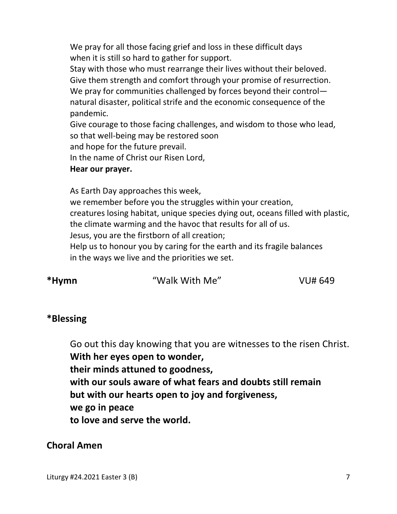We pray for all those facing grief and loss in these difficult days when it is still so hard to gather for support.

 Stay with those who must rearrange their lives without their beloved. Give them strength and comfort through your promise of resurrection. We pray for communities challenged by forces beyond their control natural disaster, political strife and the economic consequence of the pandemic.

 Give courage to those facing challenges, and wisdom to those who lead, so that well-being may be restored soon

and hope for the future prevail.

In the name of Christ our Risen Lord,

#### **Hear our prayer.**

As Earth Day approaches this week,

 we remember before you the struggles within your creation, creatures losing habitat, unique species dying out, oceans filled with plastic, the climate warming and the havoc that results for all of us. Jesus, you are the firstborn of all creation; Help us to honour you by caring for the earth and its fragile balances

in the ways we live and the priorities we set.

**\*Hymn** "Walk With Me" VU# 649

# **\*Blessing**

Go out this day knowing that you are witnesses to the risen Christ. **With her eyes open to wonder, their minds attuned to goodness, with our souls aware of what fears and doubts still remain but with our hearts open to joy and forgiveness, we go in peace to love and serve the world.** 

## **Choral Amen**